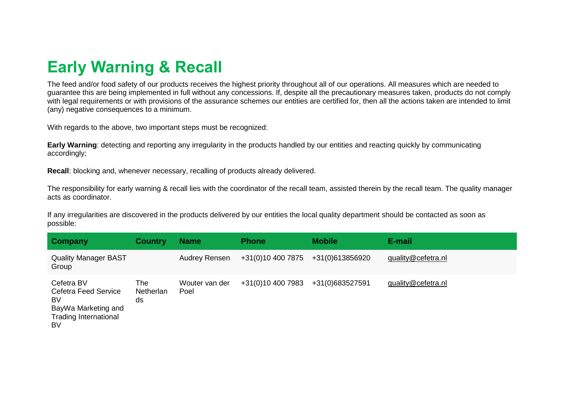## **Early Warning & Recall**

The feed and/or food safety of our products receives the highest priority throughout all of our operations. All measures which are needed to guarantee this are being implemented in full without any concessions. If, despite all the precautionary measures taken, products do not comply with legal requirements or with provisions of the assurance schemes our entities are certified for, then all the actions taken are intended to limit (any) negative consequences to a minimum.

With regards to the above, two important steps must be recognized:

**Early Warning**: detecting and reporting any irregularity in the products handled by our entities and reacting quickly by communicating accordingly;

**Recall**: blocking and, whenever necessary, recalling of products already delivered.

The responsibility for early warning & recall lies with the coordinator of the recall team, assisted therein by the recall team. The quality manager acts as coordinator.

If any irregularities are discovered in the products delivered by our entities the local quality department should be contacted as soon as possible:

| Company                                                                                                      | <b>Country</b>         | <b>Name</b>            | <b>Phone</b>      | <b>Mobile</b>   | E-mail             |
|--------------------------------------------------------------------------------------------------------------|------------------------|------------------------|-------------------|-----------------|--------------------|
| <b>Quality Manager BAST</b><br>Group                                                                         |                        | <b>Audrey Rensen</b>   | +31(0)10 400 7875 | +31(0)613856920 | quality@cefetra.nl |
| Cefetra BV<br><b>Cefetra Feed Service</b><br>BV<br>BayWa Marketing and<br><b>Trading International</b><br>BV | The<br>Netherlan<br>ds | Wouter van der<br>Poel | +31(0)10 400 7983 | +31(0)683527591 | quality@cefetra.nl |